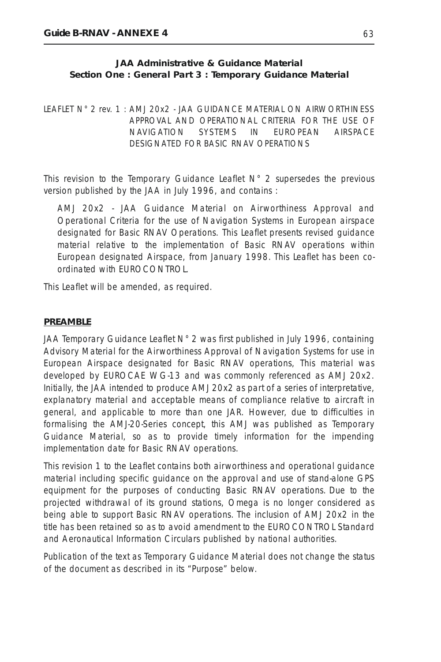### **JAA Administrative & Guidance Material Section One : General Part 3 : Temporary Guidance Material**

LEAFLET N° 2 rev. 1 : AMJ 20x2 - JAA GUIDANCE MATERIAL ON AIRWORTHINESS APPROVAL AND OPERATIONAL CRITERIA FOR THE USE OF NAVIGATION SYSTEMS IN EUROPEAN AIRSPACE DESIGNATED FOR BASIC RNAV OPERATIONS

This revision to the Temporary Guidance Leaflet  $N^{\circ}$  2 supersedes the previous version published by the JAA in July 1996, and contains :

AMJ 20x2 - JAA Guidance Material on Airworthiness Approval and Operational Criteria for the use of Navigation Systems in European airspace designated for Basic RNAV Operations. This Leaflet presents revised guidance material relative to the implementation of Basic RNAV operations within European designated Airspace, from January 1998. This Leaflet has been coordinated with EUROCONTROL.

This Leaflet will be amended, as required.

#### **PREAMBLE**

JAA Temporary Guidance Leaflet N° 2 was first published in July 1996, containing Advisory Material for the Airworthiness Approval of Navigation Systems for use in European Airspace designated for Basic RNAV operations, This material was developed by EUROCAE WG-13 and was commonly referenced as AMJ 20x2. Initially, the JAA intended to produce AMJ 20x2 as part of a series of interpretative, explanatory material and acceptable means of compliance relative to aircraft in general, and applicable to more than one JAR. However, due to difficulties in formalising the AMJ-20-Series concept, this AMJ was published as Temporary Guidance Material, so as to provide timely information for the impending implementation date for Basic RNAV operations.

This revision 1 to the Leaflet contains both airworthiness and operational guidance material including specific guidance on the approval and use of stand-alone GPS equipment for the purposes of conducting Basic RNAV operations. Due to the projected withdrawal of its ground stations, Omega is no longer considered as being able to support Basic RNAV operations. The inclusion of AMJ 20x2 in the title has been retained so as to avoid amendment to the EUROCONTROL Standard and Aeronautical Information Circulars published by national authorities.

Publication of the text as Temporary Guidance Material does not change the status of the document as described in its "Purpose" below.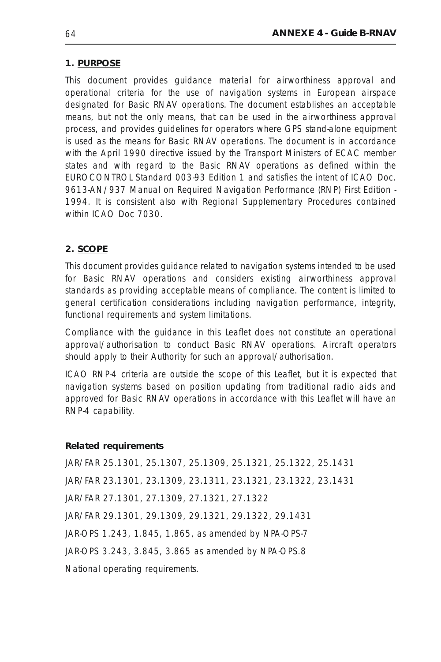## **1. PURPOSE**

This document provides guidance material for airworthiness approval and operational criteria for the use of navigation systems in European airspace designated for Basic RNAV operations. The document establishes an acceptable means, but not the only means, that can be used in the airworthiness approval process, and provides guidelines for operators where GPS stand-alone equipment is used as the means for Basic RNAV operations. The document is in accordance with the April 1990 directive issued by the Transport Ministers of ECAC member states and with regard to the Basic RNAV operations as defined within the EUROCONTROL Standard 003-93 Edition 1 and satisfies the intent of ICAO Doc. 9613-AN/937 Manual on Required Navigation Performance (RNP) First Edition - 1994. It is consistent also with Regional Supplementary Procedures contained within ICAO Doc 7030.

# **2. SCOPE**

This document provides guidance related to navigation systems intended to be used for Basic RNAV operations and considers existing airworthiness approval standards as providing acceptable means of compliance. The content is limited to general certification considerations including navigation performance, integrity, functional requirements and system limitations.

Compliance with the guidance in this Leaflet does not constitute an operational approval/authorisation to conduct Basic RNAV operations. Aircraft operators should apply to their Authority for such an approval/authorisation.

ICAO RNP-4 criteria are outside the scope of this Leaflet, but it is expected that navigation systems based on position updating from traditional radio aids and approved for Basic RNAV operations in accordance with this Leaflet will have an RNP-4 capability.

### **Related requirements**

JAR/FAR 25.1301, 25.1307, 25.1309, 25.1321, 25.1322, 25.1431 JAR/FAR 23.1301, 23.1309, 23.1311, 23.1321, 23.1322, 23.1431 JAR/FAR 27.1301, 27.1309, 27.1321, 27.1322 JAR/FAR 29.1301, 29.1309, 29.1321, 29.1322, 29.1431 JAR-OPS 1.243, 1.845, 1.865, as amended by NPA-OPS-7 JAR-OPS 3.243, 3.845, 3.865 as amended by NPA-OPS.8 National operating requirements.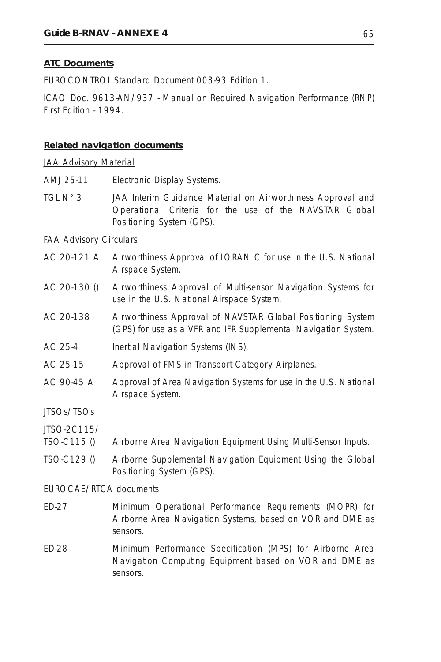### **ATC Documents**

EUROCONTROL Standard Document 003-93 Edition 1.

ICAO Doc. 9613-AN/937 - Manual on Required Navigation Performance (RNP) First Edition - 1994.

#### **Related navigation documents**

#### JAA Advisory Material

- AMJ 25-11 Electronic Display Systems.
- TGL N° 3 JAA Interim Guidance Material on Airworthiness Approval and Operational Criteria for the use of the NAVSTAR Global Positioning System (GPS).

#### FAA Advisory Circulars

- AC 20-121 A Airworthiness Approval of LORAN C for use in the U.S. National Airspace System.
- AC 20-130 () Airworthiness Approval of Multi-sensor Navigation Systems for use in the U.S. National Airspace System.
- AC 20-138 Airworthiness Approval of NAVSTAR Global Positioning System (GPS) for use as a VFR and IFR Supplemental Navigation System.
- AC 25-4 Inertial Navigation Systems (INS).
- AC 25-15 Approval of FMS in Transport Category Airplanes.
- AC 90-45 A Approval of Area Navigation Systems for use in the U.S. National Airspace System.

#### JTSOs/TSOs

JTSO-2C115/

- TSO-C115 () Airborne Area Navigation Equipment Using Multi-Sensor Inputs.
- TSO-C129 () Airborne Supplemental Navigation Equipment Using the Global Positioning System (GPS).

#### EUROCAE/RTCA documents

- ED-27 Minimum Operational Performance Requirements (MOPR) for Airborne Area Navigation Systems, based on VOR and DME as sensors.
- ED-28 Minimum Performance Specification (MPS) for Airborne Area Navigation Computing Equipment based on VOR and DME as sensors.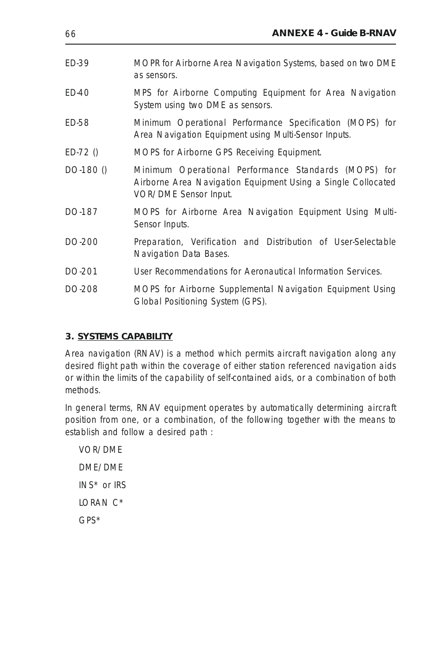| ED-39     | MOPR for Airborne Area Navigation Systems, based on two DME<br>as sensors.                                                                    |
|-----------|-----------------------------------------------------------------------------------------------------------------------------------------------|
| ED-40     | MPS for Airborne Computing Equipment for Area Navigation<br>System using two DME as sensors.                                                  |
| ED-58     | Minimum Operational Performance Specification (MOPS) for<br>Area Navigation Equipment using Multi-Sensor Inputs.                              |
| $ED-72()$ | MOPS for Airborne GPS Receiving Equipment.                                                                                                    |
| DO-180 () | Minimum Operational Performance Standards (MOPS) for<br>Airborne Area Navigation Equipment Using a Single Collocated<br>VOR/DME Sensor Input. |
| DO-187    | MOPS for Airborne Area Navigation Equipment Using Multi-<br>Sensor Inputs.                                                                    |
| DO-200    | Preparation, Verification and Distribution of User-Selectable<br>Navigation Data Bases.                                                       |
| DO-201    | User Recommendations for Aeronautical Information Services.                                                                                   |
| DO-208    | MOPS for Airborne Supplemental Navigation Equipment Using<br>Global Positioning System (GPS).                                                 |

# **3. SYSTEMS CAPABILITY**

Area navigation (RNAV) is a method which permits aircraft navigation along any desired flight path within the coverage of either station referenced navigation aids or within the limits of the capability of self-contained aids, or a combination of both methods.

In general terms, RNAV equipment operates by automatically determining aircraft position from one, or a combination, of the following together with the means to establish and follow a desired path :

VOR/DME DME/DME INS\* or IRS LORAN C\* GPS\*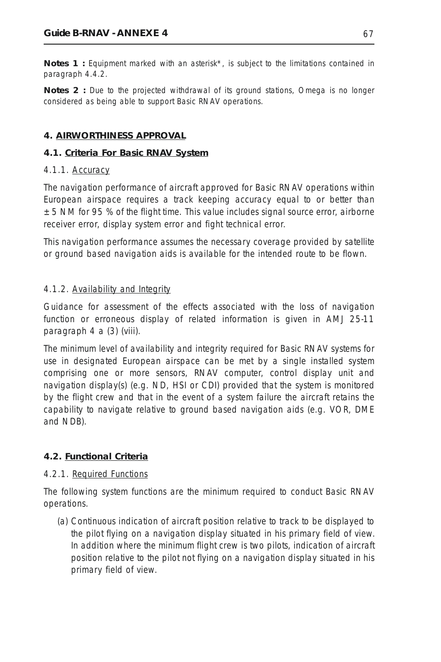*Notes 1 : Equipment marked with an asterisk\*, is subject to the limitations contained in paragraph 4.4.2.*

*Notes 2 : Due to the projected withdrawal of its ground stations, Omega is no longer considered as being able to support Basic RNAV operations.*

## **4. AIRWORTHINESS APPROVAL**

### **4.1. Criteria For Basic RNAV System**

### 4.1.1. Accuracy

The navigation performance of aircraft approved for Basic RNAV operations within European airspace requires a track keeping accuracy equal to or better than  $± 5$  NM for 95 % of the flight time. This value includes signal source error, airborne receiver error, display system error and fight technical error.

This navigation performance assumes the necessary coverage provided by satellite or ground based navigation aids is available for the intended route to be flown.

### 4.1.2. Availability and Integrity

Guidance for assessment of the effects associated with the loss of navigation function or erroneous display of related information is given in AMJ 25-11 paragraph 4 a (3) (viii).

The minimum level of availability and integrity required for Basic RNAV systems for use in designated European airspace can be met by a single installed system comprising one or more sensors, RNAV computer, control display unit and navigation display(s) (e.g. ND, HSI or CDI) provided that the system is monitored by the flight crew and that in the event of a system failure the aircraft retains the capability to navigate relative to ground based navigation aids (e.g. VOR, DME and NDB).

# **4.2. Functional Criteria**

### 4.2.1. Required Functions

The following system functions are the minimum required to conduct Basic RNAV operations.

(a) Continuous indication of aircraft position relative to track to be displayed to the pilot flying on a navigation display situated in his primary field of view. In addition where the minimum flight crew is two pilots, indication of aircraft position relative to the pilot not flying on a navigation display situated in his primary field of view.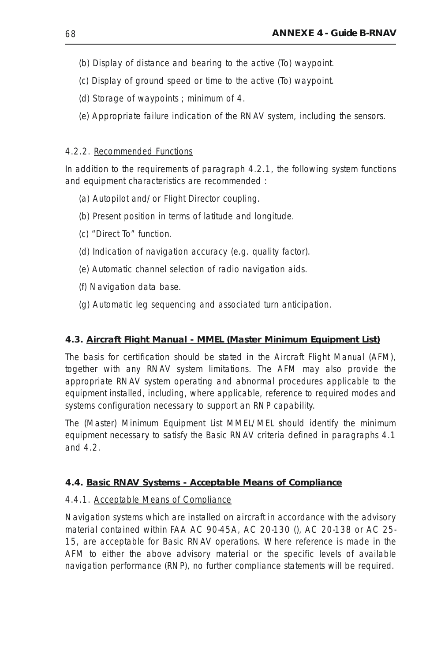- (b) Display of distance and bearing to the active (To) waypoint.
- (c) Display of ground speed or time to the active (To) waypoint.
- (d) Storage of waypoints ; minimum of 4.
- (e) Appropriate failure indication of the RNAV system, including the sensors.

### 4.2.2. Recommended Functions

In addition to the requirements of paragraph 4.2.1, the following system functions and equipment characteristics are recommended :

- (a) Autopilot and/or Flight Director coupling.
- (b) Present position in terms of latitude and longitude.
- (c) "Direct To" function.
- (d) Indication of navigation accuracy (e.g. quality factor).
- (e) Automatic channel selection of radio navigation aids.
- (f) Navigation data base.
- (g) Automatic leg sequencing and associated turn anticipation.

### **4.3. Aircraft Flight Manual - MMEL (Master Minimum Equipment List)**

The basis for certification should be stated in the Aircraft Flight Manual (AFM), together with any RNAV system limitations. The AFM may also provide the appropriate RNAV system operating and abnormal procedures applicable to the equipment installed, including, where applicable, reference to required modes and systems configuration necessary to support an RNP capability.

The (Master) Minimum Equipment List MMEL/MEL should identify the minimum equipment necessary to satisfy the Basic RNAV criteria defined in paragraphs 4.1 and 4.2.

### **4.4. Basic RNAV Systems - Acceptable Means of Compliance**

### 4.4.1. Acceptable Means of Compliance

Navigation systems which are installed on aircraft in accordance with the advisory material contained within FAA AC 90-45A, AC 20-130 (), AC 20-138 or AC 25- 15, are acceptable for Basic RNAV operations. Where reference is made in the AFM to either the above advisory material or the specific levels of available navigation performance (RNP), no further compliance statements will be required.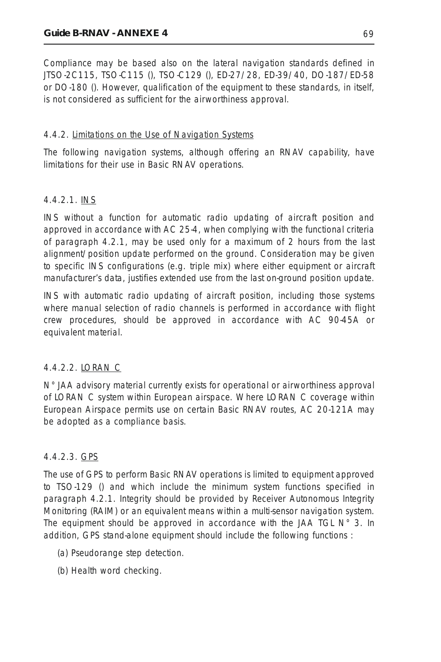Compliance may be based also on the lateral navigation standards defined in JTSO-2C115, TSO-C115 (), TSO-C129 (), ED-27/28, ED-39/40, DO-187/ED-58 or DO-180 (). However, qualification of the equipment to these standards, in itself, is not considered as sufficient for the airworthiness approval.

## 4.4.2. Limitations on the Use of Navigation Systems

The following navigation systems, although offering an RNAV capability, have limitations for their use in Basic RNAV operations.

# *4.4.2.1. INS*

INS without a function for automatic radio updating of aircraft position and approved in accordance with AC 25-4, when complying with the functional criteria of paragraph 4.2.1, may be used only for a maximum of 2 hours from the last alignment/position update performed on the ground. Consideration may be given to specific INS configurations (e.g. triple mix) where either equipment or aircraft manufacturer's data, justifies extended use from the last on-ground position update.

INS with automatic radio updating of aircraft position, including those systems where manual selection of radio channels is performed in accordance with flight crew procedures, should be approved in accordance with AC 90-45A or equivalent material.

# *4.4.2.2. LORAN C*

N° JAA advisory material currently exists for operational or airworthiness approval of LORAN C system within European airspace. Where LORAN C coverage within European Airspace permits use on certain Basic RNAV routes, AC 20-121A may be adopted as a compliance basis.

# *4.4.2.3. GPS*

The use of GPS to perform Basic RNAV operations is limited to equipment approved to TSO-129 () and which include the minimum system functions specified in paragraph 4.2.1. Integrity should be provided by Receiver Autonomous Integrity Monitoring (RAIM) or an equivalent means within a multi-sensor navigation system. The equipment should be approved in accordance with the JAA TGL  $N^{\circ}$  3. In addition, GPS stand-alone equipment should include the following functions :

- (a) Pseudorange step detection.
- (b) Health word checking.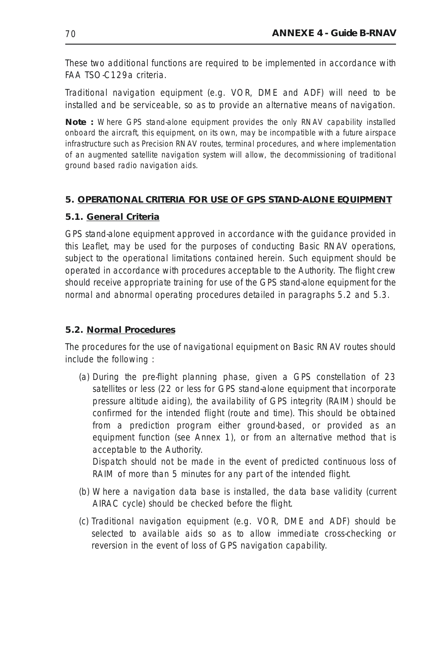These two additional functions are required to be implemented in accordance with FAA TSO-C129a criteria.

Traditional navigation equipment (e.g. VOR, DME and ADF) will need to be installed and be serviceable, so as to provide an alternative means of navigation.

*Note : Where GPS stand-alone equipment provides the only RNAV capability installed onboard the aircraft, this equipment, on its own, may be incompatible with a future airspace infrastructure such as Precision RNAV routes, terminal procedures, and where implementation of an augmented satellite navigation system will allow, the decommissioning of traditional ground based radio navigation aids.*

# **5. OPERATIONAL CRITERIA FOR USE OF GPS STAND-ALONE EQUIPMENT**

## **5.1. General Criteria**

GPS stand-alone equipment approved in accordance with the guidance provided in this Leaflet, may be used for the purposes of conducting Basic RNAV operations, subject to the operational limitations contained herein. Such equipment should be operated in accordance with procedures acceptable to the Authority. The flight crew should receive appropriate training for use of the GPS stand-alone equipment for the normal and abnormal operating procedures detailed in paragraphs 5.2 and 5.3.

# **5.2. Normal Procedures**

The procedures for the use of navigational equipment on Basic RNAV routes should include the following :

(a) During the pre-flight planning phase, given a GPS constellation of 23 satellites or less (22 or less for GPS stand-alone equipment that incorporate pressure altitude aiding), the availability of GPS integrity (RAIM) should be confirmed for the intended flight (route and time). This should be obtained from a prediction program either ground-based, or provided as an equipment function (see Annex 1), or from an alternative method that is acceptable to the Authority.

Dispatch should not be made in the event of predicted continuous loss of RAIM of more than 5 minutes for any part of the intended flight.

- (b) Where a navigation data base is installed, the data base validity (current AIRAC cycle) should be checked before the flight.
- (c) Traditional navigation equipment (e.g. VOR, DME and ADF) should be selected to available aids so as to allow immediate cross-checking or reversion in the event of loss of GPS navigation capability.